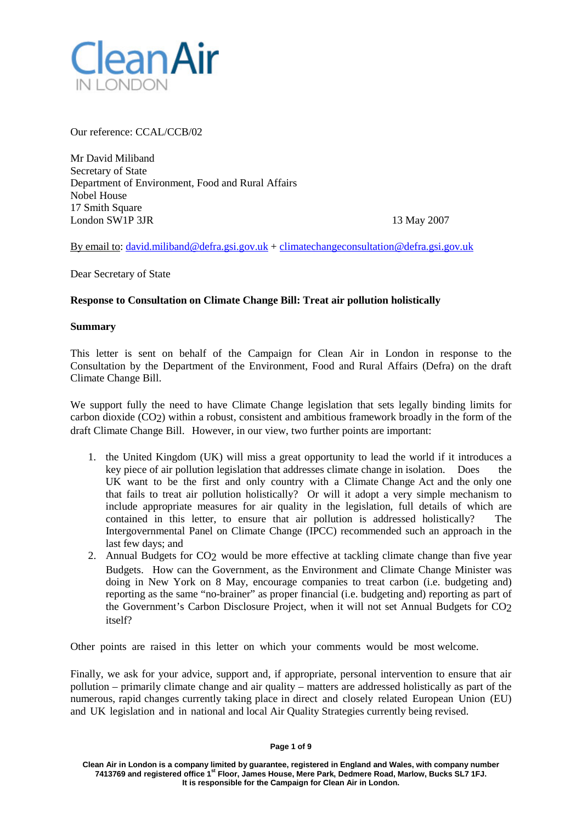

Our reference: CCAL/CCB/02

Mr David Miliband Secretary of State Department of Environment, Food and Rural Affairs Nobel House 17 Smith Square London SW1P 3JR 13 May 2007

By email to: [david.miliband@defra.gsi.gov.uk](mailto:david.miliband@defra.gsi.gov.uk) + [climatechangeconsultation@defra.gsi.gov.uk](mailto:climatechangeconsultation@defra.gsi.gov.uk)

Dear Secretary of State

# **Response to Consultation on Climate Change Bill: Treat air pollution holistically**

## **Summary**

This letter is sent on behalf of the Campaign for Clean Air in London in response to the Consultation by the Department of the Environment, Food and Rural Affairs (Defra) on the draft Climate Change Bill.

We support fully the need to have Climate Change legislation that sets legally binding limits for carbon dioxide (CO2) within a robust, consistent and ambitious framework broadly in the form of the draft Climate Change Bill. However, in our view, two further points are important:

- 1. the United Kingdom (UK) will miss a great opportunity to lead the world if it introduces a key piece of air pollution legislation that addresses climate change in isolation. Does the UK want to be the first and only country with a Climate Change Act and the only one that fails to treat air pollution holistically? Or will it adopt a very simple mechanism to include appropriate measures for air quality in the legislation, full details of which are contained in this letter, to ensure that air pollution is addressed holistically? The Intergovernmental Panel on Climate Change (IPCC) recommended such an approach in the last few days; and
- 2. Annual Budgets for CO2 would be more effective at tackling climate change than five year Budgets. How can the Government, as the Environment and Climate Change Minister was doing in New York on 8 May, encourage companies to treat carbon (i.e. budgeting and) reporting as the same "no-brainer" as proper financial (i.e. budgeting and) reporting as part of the Government's Carbon Disclosure Project, when it will not set Annual Budgets for CO2 itself?

Other points are raised in this letter on which your comments would be most welcome.

Finally, we ask for your advice, support and, if appropriate, personal intervention to ensure that air pollution – primarily climate change and air quality – matters are addressed holistically as part of the numerous, rapid changes currently taking place in direct and closely related European Union (EU) and UK legislation and in national and local Air Quality Strategies currently being revised.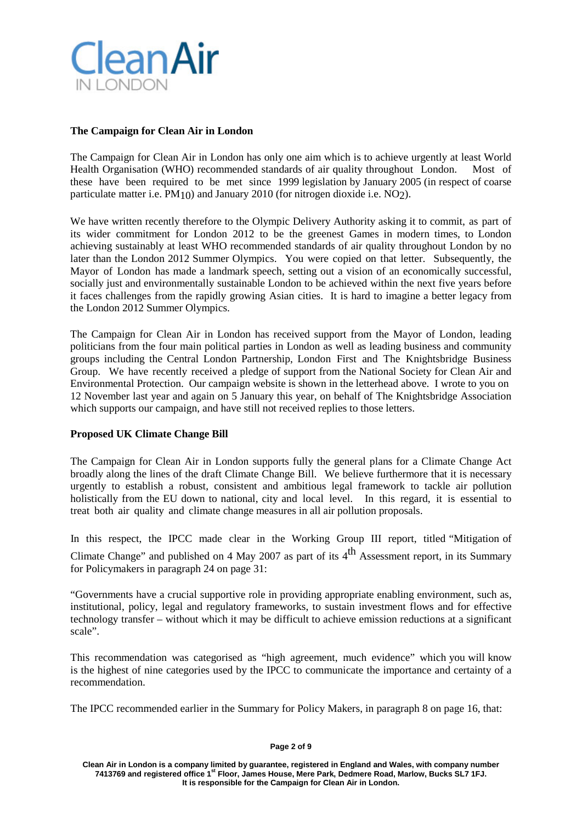

# **The Campaign for Clean Air in London**

The Campaign for Clean Air in London has only one aim which is to achieve urgently at least World Health Organisation (WHO) recommended standards of air quality throughout London. Most of these have been required to be met since 1999 legislation by January 2005 (in respect of coarse particulate matter i.e. PM10) and January 2010 (for nitrogen dioxide i.e. NO2).

We have written recently therefore to the Olympic Delivery Authority asking it to commit, as part of its wider commitment for London 2012 to be the greenest Games in modern times, to London achieving sustainably at least WHO recommended standards of air quality throughout London by no later than the London 2012 Summer Olympics. You were copied on that letter. Subsequently, the Mayor of London has made a landmark speech, setting out a vision of an economically successful, socially just and environmentally sustainable London to be achieved within the next five years before it faces challenges from the rapidly growing Asian cities. It is hard to imagine a better legacy from the London 2012 Summer Olympics.

The Campaign for Clean Air in London has received support from the Mayor of London, leading politicians from the four main political parties in London as well as leading business and community groups including the Central London Partnership, London First and The Knightsbridge Business Group. We have recently received a pledge of support from the National Society for Clean Air and Environmental Protection. Our campaign website is shown in the letterhead above. I wrote to you on 12 November last year and again on 5 January this year, on behalf of The Knightsbridge Association which supports our campaign, and have still not received replies to those letters.

# **Proposed UK Climate Change Bill**

The Campaign for Clean Air in London supports fully the general plans for a Climate Change Act broadly along the lines of the draft Climate Change Bill. We believe furthermore that it is necessary urgently to establish a robust, consistent and ambitious legal framework to tackle air pollution holistically from the EU down to national, city and local level. In this regard, it is essential to treat both air quality and climate change measures in all air pollution proposals.

In this respect, the IPCC made clear in the Working Group III report, titled "Mitigation of Climate Change" and published on 4 May 2007 as part of its  $4<sup>th</sup>$  Assessment report, in its Summary for Policymakers in paragraph 24 on page 31:

"Governments have a crucial supportive role in providing appropriate enabling environment, such as, institutional, policy, legal and regulatory frameworks, to sustain investment flows and for effective technology transfer – without which it may be difficult to achieve emission reductions at a significant scale".

This recommendation was categorised as "high agreement, much evidence" which you will know is the highest of nine categories used by the IPCC to communicate the importance and certainty of a recommendation.

The IPCC recommended earlier in the Summary for Policy Makers, in paragraph 8 on page 16, that:

### **Page 2 of 9**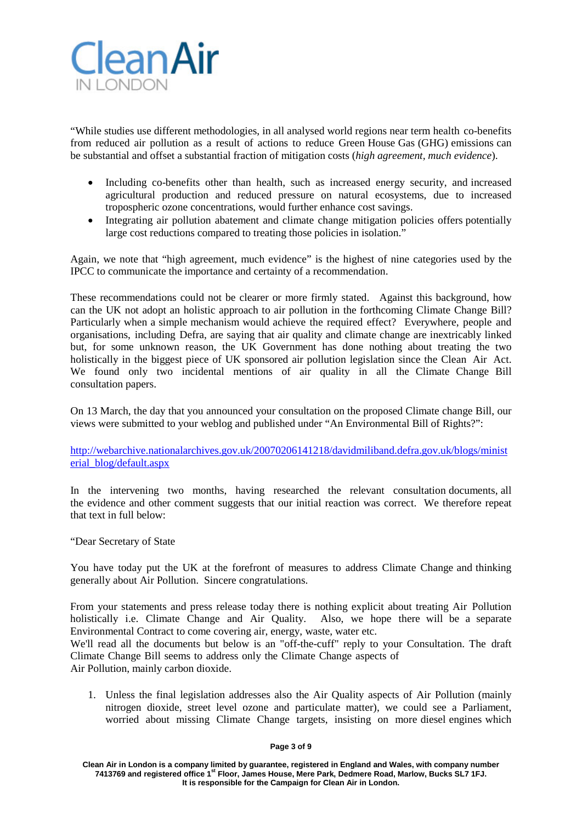

"While studies use different methodologies, in all analysed world regions near term health co-benefits from reduced air pollution as a result of actions to reduce Green House Gas (GHG) emissions can be substantial and offset a substantial fraction of mitigation costs (*high agreement, much evidence*).

- Including co-benefits other than health, such as increased energy security, and increased agricultural production and reduced pressure on natural ecosystems, due to increased tropospheric ozone concentrations, would further enhance cost savings.
- Integrating air pollution abatement and climate change mitigation policies offers potentially large cost reductions compared to treating those policies in isolation."

Again, we note that "high agreement, much evidence" is the highest of nine categories used by the IPCC to communicate the importance and certainty of a recommendation.

These recommendations could not be clearer or more firmly stated. Against this background, how can the UK not adopt an holistic approach to air pollution in the forthcoming Climate Change Bill? Particularly when a simple mechanism would achieve the required effect? Everywhere, people and organisations, including Defra, are saying that air quality and climate change are inextricably linked but, for some unknown reason, the UK Government has done nothing about treating the two holistically in the biggest piece of UK sponsored air pollution legislation since the Clean Air Act. We found only two incidental mentions of air quality in all the Climate Change Bill consultation papers.

On 13 March, the day that you announced your consultation on the proposed Climate change Bill, our views were submitted to your weblog and published under "An Environmental Bill of Rights?":

[http://webarchive.nationalarchives.gov.uk/20070206141218/davidmiliband.defra.gov.uk/blogs/minist](http://webarchive.nationalarchives.gov.uk/20070206141218/davidmiliband.defra.gov.uk/blogs/ministerial_blog/default.aspx) [erial\\_blog/default.aspx](http://webarchive.nationalarchives.gov.uk/20070206141218/davidmiliband.defra.gov.uk/blogs/ministerial_blog/default.aspx)

In the intervening two months, having researched the relevant consultation documents, all the evidence and other comment suggests that our initial reaction was correct. We therefore repeat that text in full below:

"Dear Secretary of State

You have today put the UK at the forefront of measures to address Climate Change and thinking generally about Air Pollution. Sincere congratulations.

From your statements and press release today there is nothing explicit about treating Air Pollution holistically i.e. Climate Change and Air Quality. Also, we hope there will be a separate Environmental Contract to come covering air, energy, waste, water etc.

We'll read all the documents but below is an "off-the-cuff" reply to your Consultation. The draft Climate Change Bill seems to address only the Climate Change aspects of Air Pollution, mainly carbon dioxide.

1. Unless the final legislation addresses also the Air Quality aspects of Air Pollution (mainly nitrogen dioxide, street level ozone and particulate matter), we could see a Parliament, worried about missing Climate Change targets, insisting on more diesel engines which

### **Page 3 of 9**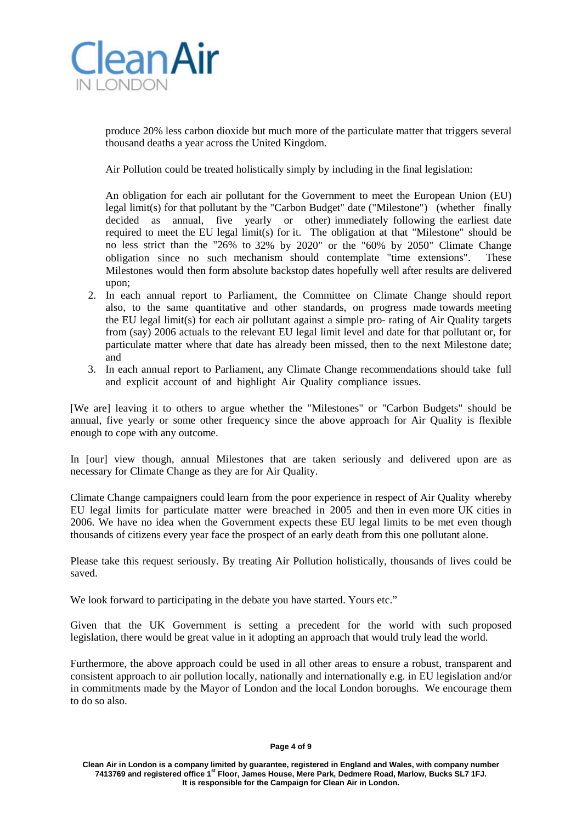

produce 20% less carbon dioxide but much more of the particulate matter that triggers several thousand deaths a year across the United Kingdom.

Air Pollution could be treated holistically simply by including in the final legislation:

An obligation for each air pollutant for the Government to meet the European Union (EU) legal limit(s) for that pollutant by the "Carbon Budget" date ("Milestone") (whether finally decided as annual, five yearly or other) immediately following the earliest date required to meet the EU legal limit(s) for it. The obligation at that "Milestone" should be no less strict than the "26% to 32% by 2020" or the "60% by 2050" Climate Change obligation since no such mechanism should contemplate "time extensions". These Milestones would then form absolute backstop dates hopefully well after results are delivered upon;

- 2. In each annual report to Parliament, the Committee on Climate Change should report also, to the same quantitative and other standards, on progress made towards meeting the EU legal limit(s) for each air pollutant against a simple pro- rating of Air Quality targets from (say) 2006 actuals to the relevant EU legal limit level and date for that pollutant or, for particulate matter where that date has already been missed, then to the next Milestone date; and
- 3. In each annual report to Parliament, any Climate Change recommendations should take full and explicit account of and highlight Air Quality compliance issues.

[We are] leaving it to others to argue whether the "Milestones" or "Carbon Budgets" should be annual, five yearly or some other frequency since the above approach for Air Quality is flexible enough to cope with any outcome.

In [our] view though, annual Milestones that are taken seriously and delivered upon are as necessary for Climate Change as they are for Air Quality.

Climate Change campaigners could learn from the poor experience in respect of Air Quality whereby EU legal limits for particulate matter were breached in 2005 and then in even more UK cities in 2006. We have no idea when the Government expects these EU legal limits to be met even though thousands of citizens every year face the prospect of an early death from this one pollutant alone.

Please take this request seriously. By treating Air Pollution holistically, thousands of lives could be saved.

We look forward to participating in the debate you have started. Yours etc."

Given that the UK Government is setting a precedent for the world with such proposed legislation, there would be great value in it adopting an approach that would truly lead the world.

Furthermore, the above approach could be used in all other areas to ensure a robust, transparent and consistent approach to air pollution locally, nationally and internationally e.g. in EU legislation and/or in commitments made by the Mayor of London and the local London boroughs. We encourage them to do so also.

#### **Page 4 of 9**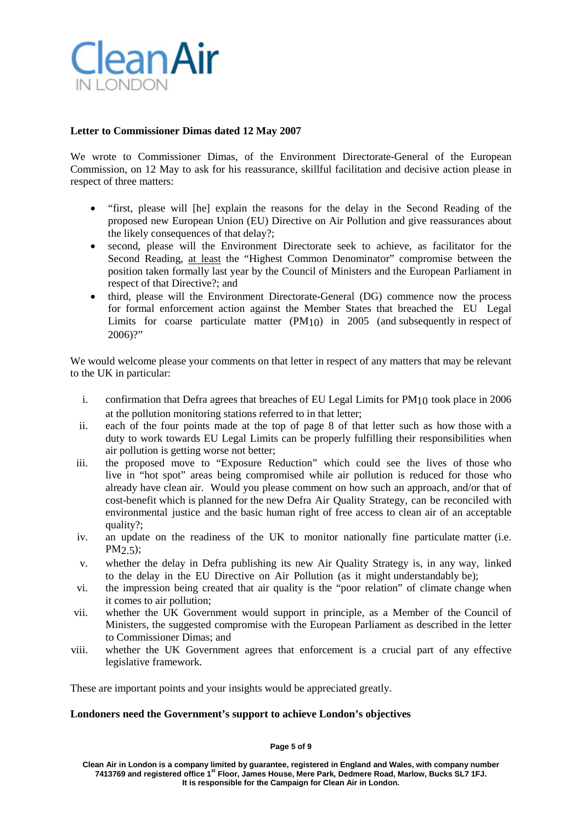

# **Letter to Commissioner Dimas dated 12 May 2007**

We wrote to Commissioner Dimas, of the Environment Directorate-General of the European Commission, on 12 May to ask for his reassurance, skillful facilitation and decisive action please in respect of three matters:

- "first, please will [he] explain the reasons for the delay in the Second Reading of the proposed new European Union (EU) Directive on Air Pollution and give reassurances about the likely consequences of that delay?;
- second, please will the Environment Directorate seek to achieve, as facilitator for the Second Reading, at least the "Highest Common Denominator" compromise between the position taken formally last year by the Council of Ministers and the European Parliament in respect of that Directive?; and
- third, please will the Environment Directorate-General (DG) commence now the process for formal enforcement action against the Member States that breached the EU Legal Limits for coarse particulate matter (PM10) in 2005 (and subsequently in respect of 2006)?"

We would welcome please your comments on that letter in respect of any matters that may be relevant to the UK in particular:

- i. confirmation that Defra agrees that breaches of EU Legal Limits for PM10 took place in 2006 at the pollution monitoring stations referred to in that letter;
- ii. each of the four points made at the top of page 8 of that letter such as how those with a duty to work towards EU Legal Limits can be properly fulfilling their responsibilities when air pollution is getting worse not better;
- iii. the proposed move to "Exposure Reduction" which could see the lives of those who live in "hot spot" areas being compromised while air pollution is reduced for those who already have clean air. Would you please comment on how such an approach, and/or that of cost-benefit which is planned for the new Defra Air Quality Strategy, can be reconciled with environmental justice and the basic human right of free access to clean air of an acceptable quality?;
- iv. an update on the readiness of the UK to monitor nationally fine particulate matter (i.e. PM2.5);
- v. whether the delay in Defra publishing its new Air Quality Strategy is, in any way, linked to the delay in the EU Directive on Air Pollution (as it might understandably be);
- vi. the impression being created that air quality is the "poor relation" of climate change when it comes to air pollution;
- vii. whether the UK Government would support in principle, as a Member of the Council of Ministers, the suggested compromise with the European Parliament as described in the letter to Commissioner Dimas; and
- viii. whether the UK Government agrees that enforcement is a crucial part of any effective legislative framework.

These are important points and your insights would be appreciated greatly.

### **Londoners need the Government's support to achieve London's objectives**

### **Page 5 of 9**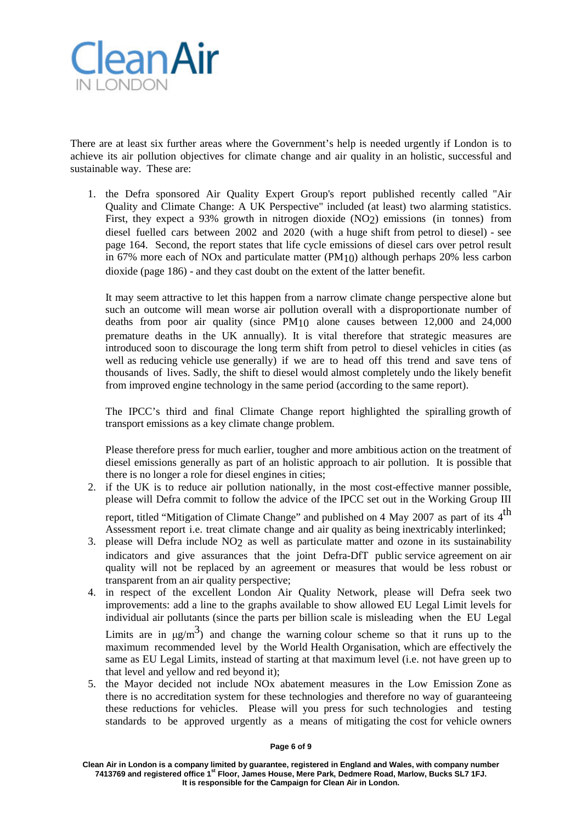

There are at least six further areas where the Government's help is needed urgently if London is to achieve its air pollution objectives for climate change and air quality in an holistic, successful and sustainable way. These are:

1. the Defra sponsored Air Quality Expert Group's report published recently called "Air Quality and Climate Change: A UK Perspective" included (at least) two alarming statistics. First, they expect a 93% growth in nitrogen dioxide (NO2) emissions (in tonnes) from diesel fuelled cars between 2002 and 2020 (with a huge shift from petrol to diesel) - see page 164. Second, the report states that life cycle emissions of diesel cars over petrol result in 67% more each of NOx and particulate matter  $(PM<sub>10</sub>)$  although perhaps 20% less carbon dioxide (page 186) - and they cast doubt on the extent of the latter benefit.

It may seem attractive to let this happen from a narrow climate change perspective alone but such an outcome will mean worse air pollution overall with a disproportionate number of deaths from poor air quality (since PM10 alone causes between 12,000 and 24,000 premature deaths in the UK annually). It is vital therefore that strategic measures are introduced soon to discourage the long term shift from petrol to diesel vehicles in cities (as well as reducing vehicle use generally) if we are to head off this trend and save tens of thousands of lives. Sadly, the shift to diesel would almost completely undo the likely benefit from improved engine technology in the same period (according to the same report).

The IPCC's third and final Climate Change report highlighted the spiralling growth of transport emissions as a key climate change problem.

Please therefore press for much earlier, tougher and more ambitious action on the treatment of diesel emissions generally as part of an holistic approach to air pollution. It is possible that there is no longer a role for diesel engines in cities;

- 2. if the UK is to reduce air pollution nationally, in the most cost-effective manner possible, please will Defra commit to follow the advice of the IPCC set out in the Working Group III report, titled "Mitigation of Climate Change" and published on 4 May 2007 as part of its  $4^{\text{th}}$ Assessment report i.e. treat climate change and air quality as being inextricably interlinked;
- 3. please will Defra include NO2 as well as particulate matter and ozone in its sustainability indicators and give assurances that the joint Defra-DfT public service agreement on air quality will not be replaced by an agreement or measures that would be less robust or transparent from an air quality perspective;
- 4. in respect of the excellent London Air Quality Network, please will Defra seek two improvements: add a line to the graphs available to show allowed EU Legal Limit levels for individual air pollutants (since the parts per billion scale is misleading when the EU Legal Limits are in  $\mu g/m^3$ ) and change the warning colour scheme so that it runs up to the

maximum recommended level by the World Health Organisation, which are effectively the same as EU Legal Limits, instead of starting at that maximum level (i.e. not have green up to that level and yellow and red beyond it);

5. the Mayor decided not include NOx abatement measures in the Low Emission Zone as there is no accreditation system for these technologies and therefore no way of guaranteeing these reductions for vehicles. Please will you press for such technologies and testing standards to be approved urgently as a means of mitigating the cost for vehicle owners

### **Page 6 of 9**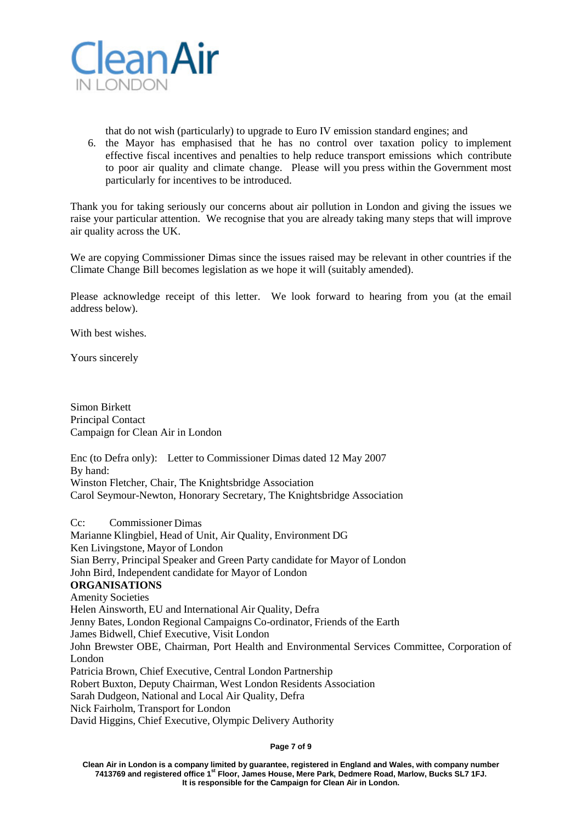

that do not wish (particularly) to upgrade to Euro IV emission standard engines; and

6. the Mayor has emphasised that he has no control over taxation policy to implement effective fiscal incentives and penalties to help reduce transport emissions which contribute to poor air quality and climate change. Please will you press within the Government most particularly for incentives to be introduced.

Thank you for taking seriously our concerns about air pollution in London and giving the issues we raise your particular attention. We recognise that you are already taking many steps that will improve air quality across the UK.

We are copying Commissioner Dimas since the issues raised may be relevant in other countries if the Climate Change Bill becomes legislation as we hope it will (suitably amended).

Please acknowledge receipt of this letter. We look forward to hearing from you (at the email address below).

With best wishes.

Yours sincerely

Simon Birkett Principal Contact Campaign for Clean Air in London

Enc (to Defra only): Letter to Commissioner Dimas dated 12 May 2007 By hand: Winston Fletcher, Chair, The Knightsbridge Association Carol Seymour-Newton, Honorary Secretary, The Knightsbridge Association

Cc: Commissioner Dimas Marianne Klingbiel, Head of Unit, Air Quality, Environment DG Ken Livingstone, Mayor of London Sian Berry, Principal Speaker and Green Party candidate for Mayor of London John Bird, Independent candidate for Mayor of London **ORGANISATIONS** Amenity Societies Helen Ainsworth, EU and International Air Quality, Defra Jenny Bates, London Regional Campaigns Co-ordinator, Friends of the Earth James Bidwell, Chief Executive, Visit London John Brewster OBE, Chairman, Port Health and Environmental Services Committee, Corporation of London Patricia Brown, Chief Executive, Central London Partnership Robert Buxton, Deputy Chairman, West London Residents Association Sarah Dudgeon, National and Local Air Quality, Defra Nick Fairholm, Transport for London David Higgins, Chief Executive, Olympic Delivery Authority

**Page 7 of 9**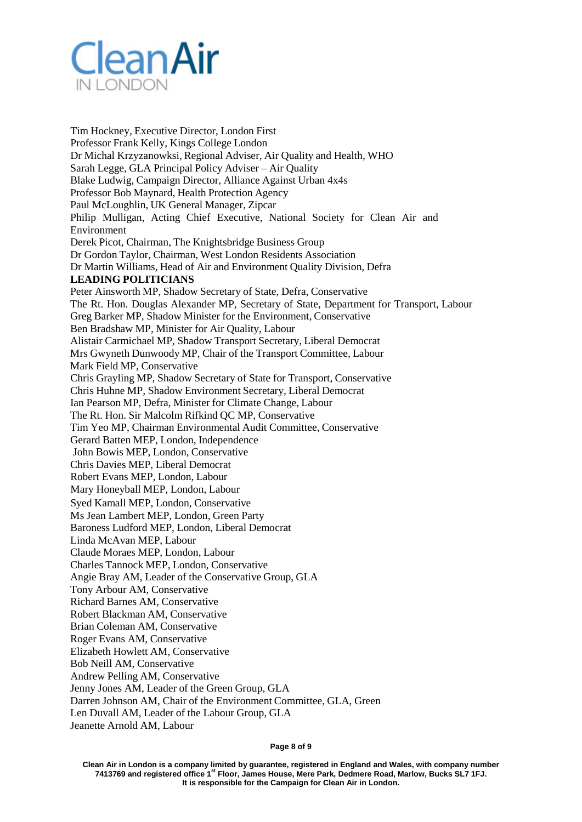

Tim Hockney, Executive Director, London First Professor Frank Kelly, Kings College London Dr Michal Krzyzanowksi, Regional Adviser, Air Quality and Health, WHO Sarah Legge, GLA Principal Policy Adviser – Air Quality Blake Ludwig, Campaign Director, Alliance Against Urban 4x4s Professor Bob Maynard, Health Protection Agency Paul McLoughlin, UK General Manager, Zipcar Philip Mulligan, Acting Chief Executive, National Society for Clean Air and Environment Derek Picot, Chairman, The Knightsbridge Business Group Dr Gordon Taylor, Chairman, West London Residents Association Dr Martin Williams, Head of Air and Environment Quality Division, Defra **LEADING POLITICIANS** Peter Ainsworth MP, Shadow Secretary of State, Defra, Conservative The Rt. Hon. Douglas Alexander MP, Secretary of State, Department for Transport, Labour Greg Barker MP, Shadow Minister for the Environment, Conservative Ben Bradshaw MP, Minister for Air Quality, Labour Alistair Carmichael MP, Shadow Transport Secretary, Liberal Democrat Mrs Gwyneth Dunwoody MP, Chair of the Transport Committee, Labour Mark Field MP, Conservative Chris Grayling MP, Shadow Secretary of State for Transport, Conservative Chris Huhne MP, Shadow Environment Secretary, Liberal Democrat Ian Pearson MP, Defra, Minister for Climate Change, Labour The Rt. Hon. Sir Malcolm Rifkind QC MP, Conservative Tim Yeo MP, Chairman Environmental Audit Committee, Conservative Gerard Batten MEP, London, Independence John Bowis MEP, London, Conservative Chris Davies MEP, Liberal Democrat Robert Evans MEP, London, Labour Mary Honeyball MEP, London, Labour Syed Kamall MEP, London, Conservative Ms Jean Lambert MEP, London, Green Party Baroness Ludford MEP, London, Liberal Democrat Linda McAvan MEP, Labour Claude Moraes MEP, London, Labour Charles Tannock MEP, London, Conservative Angie Bray AM, Leader of the Conservative Group, GLA Tony Arbour AM, Conservative Richard Barnes AM, Conservative Robert Blackman AM, Conservative Brian Coleman AM, Conservative Roger Evans AM, Conservative Elizabeth Howlett AM, Conservative Bob Neill AM, Conservative Andrew Pelling AM, Conservative Jenny Jones AM, Leader of the Green Group, GLA Darren Johnson AM, Chair of the Environment Committee, GLA, Green Len Duvall AM, Leader of the Labour Group, GLA

Jeanette Arnold AM, Labour

**Page 8 of 9**